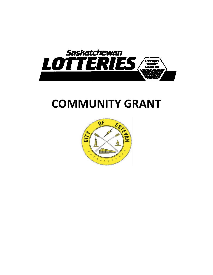

# **COMMUNITY GRANT**

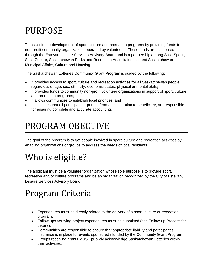# PURPOSE

To assist in the development of sport, culture and recreation programs by providing funds to non-profit community organizations operated by volunteers. These funds are distributed through the Estevan Leisure Services Advisory Board and is a partnership among Sask Sport., Sask Culture, Saskatchewan Parks and Recreation Association Inc. and Saskatchewan Municipal Affairs, Culture and Housing.

The Saskatchewan Lotteries Community Grant Program is guided by the following:

- It provides access to sport, culture and recreation activities for all Saskatchewan people regardless of age, sex, ethnicity, economic status, physical or mental ability;
- It provides funds to community non-profit volunteer organizations in support of sport, culture and recreation programs;
- It allows communities to establish local priorities; and
- It stipulates that all participating groups, from administration to beneficiary, are responsible for ensuring complete and accurate accounting.

## PROGRAM OBECTIVE

The goal of the program is to get people involved in sport, culture and recreation activities by enabling organizations or groups to address the needs of local residents.

# Who is eligible?

The applicant must be a volunteer organization whose sole purpose is to provide sport, recreation and/or culture programs and be an organization recognized by the City of Estevan, Leisure Services Advisory Board.

#### Program Criteria

- Expenditures must be directly related to the delivery of a sport, culture or recreation program.
- Follow-ups verifying project expenditures must be submitted (see Follow-up Process for details).
- Communities are responsible to ensure that appropriate liability and participant's insurance is in place for events sponsored / funded by the Community Grant Program.
- Groups receiving grants MUST publicly acknowledge Saskatchewan Lotteries within their activities.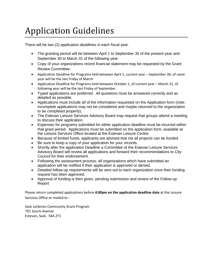# Application Guidelines

There will be two (2) application deadlines in each fiscal year.

- The granting period will be between April 1 to September 30 of the present year and September 30 to March 31 of the following year.
- Copy of your organizations recent financial statement may be requested by the Grant Review Committee.
- Application Deadline for Programs held between April 1, current year September 30, of same year will be the last Friday of March
- Application Deadline for Programs held between October 1, of current year March 31, of following year will be the last Friday of September.
- Typed applications are preferred. All questions must be answered correctly and as detailed as possible.
- Applications must include all of the information requested on the Application form (note: incomplete applications may not be considered and maybe returned to the organization to be completed properly).
- The Estevan Leisure Services Advisory Board may request that groups attend a meeting to discuss their application.
- Expenses for programs submitted for either application deadline must be incurred within that grant period. Applications must be submitted on the application form, available at the Leisure Services Office located at the Estevan Leisure Centre.
- Because of limited funds, applicants are advised that not all projects can be funded.
- Be sure to keep a copy of your application for your records.
- Shortly after the application Deadline a Committee of the Estevan Leisure Services Advisory Board will review all applications and forward their recommendations to City Council for their endorsement.
- Following the assessment process, all organizations which have submitted an application will be notified if their application is approved or denied.
- Detailed follow-up requirements will be sent out to each organization once their funding request has been approved.
- Approval of funding is then given, pending submission and review of the Follow-up Report

Please return completed applications before **4:00pm on the application deadline date** at the Leisure Services Office or mailed to :

Sask Lotteries Community Grant Program 701 Souris Avenue Estevan, Sask. S4A 2T1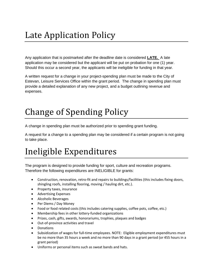# Late Application Policy

Any application that is postmarked after the deadline date is considered **LATE.** A late application may be considered but the applicant will be put on probation for one (1) year. Should this occur a second year, the applicants will be ineligible for funding in that year.

A written request for a change in your project-spending plan must be made to the City of Estevan, Leisure Services Office within the grant period. The change in spending plan must provide a detailed explanation of any new project, and a budget outlining revenue and expenses.

# Change of Spending Policy

A change in spending plan must be authorized prior to spending grant funding.

A request for a change to a spending plan may be considered if a certain program is not going to take place.

# Ineligible Expenditures

The program is designed to provide funding for sport, culture and recreation programs. Therefore the following expenditures are INELIGIBLE for grants:

- Construction, renovation, retro-fit and repairs to buildings/facilities (this includes fixing doors, shingling roofs, installing flooring, moving / hauling dirt, etc.).
- Property taxes, insurance
- Advertising Expenses
- Alcoholic Beverages
- Per Diems / Day Money
- Food or food related costs (this includes catering supplies, coffee pots, coffee, etc.)
- Membership fees in other lottery-funded organizations
- Prizes, cash, gifts, awards, honorariums, trophies, plaques and badges
- Out-of-province activities and travel
- Donations
- Subsidization of wages for full-time employees. NOTE: Eligible employment expenditures must be no more than 35 hours a week and no more than 90 days in a grant period (or 455 hours in a grant period)
- Uniforms or personal items such as sweat bands and hats.